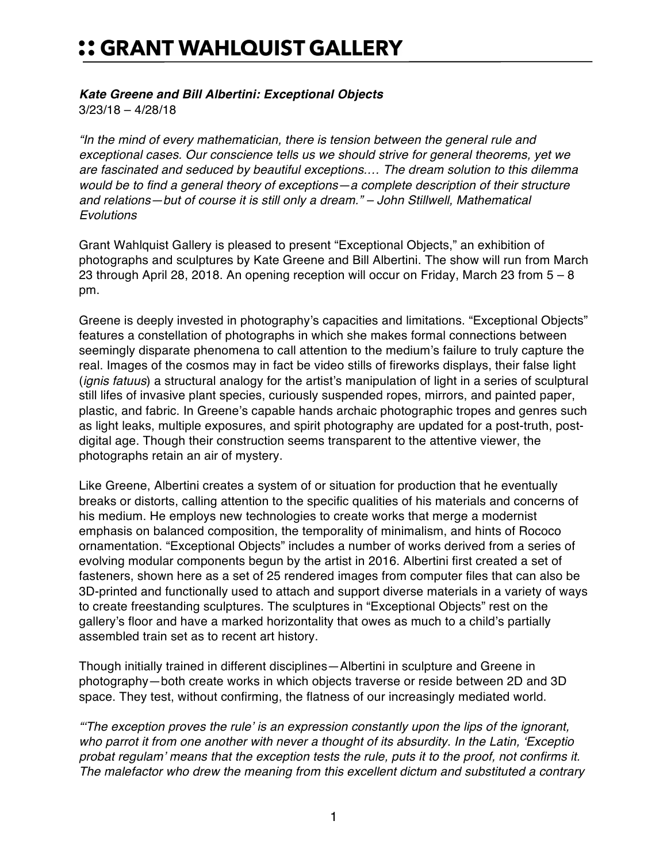## :: GRANT WAHLQUIST GALLERY

## *Kate Greene and Bill Albertini: Exceptional Objects*

3/23/18 – 4/28/18

*"In the mind of every mathematician, there is tension between the general rule and exceptional cases. Our conscience tells us we should strive for general theorems, yet we are fascinated and seduced by beautiful exceptions.… The dream solution to this dilemma would be to find a general theory of exceptions—a complete description of their structure and relations—but of course it is still only a dream." – John Stillwell, Mathematical Evolutions*

Grant Wahlquist Gallery is pleased to present "Exceptional Objects," an exhibition of photographs and sculptures by Kate Greene and Bill Albertini. The show will run from March 23 through April 28, 2018. An opening reception will occur on Friday, March 23 from 5 – 8 pm.

Greene is deeply invested in photography's capacities and limitations. "Exceptional Objects" features a constellation of photographs in which she makes formal connections between seemingly disparate phenomena to call attention to the medium's failure to truly capture the real. Images of the cosmos may in fact be video stills of fireworks displays, their false light (*ignis fatuus*) a structural analogy for the artist's manipulation of light in a series of sculptural still lifes of invasive plant species, curiously suspended ropes, mirrors, and painted paper, plastic, and fabric. In Greene's capable hands archaic photographic tropes and genres such as light leaks, multiple exposures, and spirit photography are updated for a post-truth, postdigital age. Though their construction seems transparent to the attentive viewer, the photographs retain an air of mystery.

Like Greene, Albertini creates a system of or situation for production that he eventually breaks or distorts, calling attention to the specific qualities of his materials and concerns of his medium. He employs new technologies to create works that merge a modernist emphasis on balanced composition, the temporality of minimalism, and hints of Rococo ornamentation. "Exceptional Objects" includes a number of works derived from a series of evolving modular components begun by the artist in 2016. Albertini first created a set of fasteners, shown here as a set of 25 rendered images from computer files that can also be 3D-printed and functionally used to attach and support diverse materials in a variety of ways to create freestanding sculptures. The sculptures in "Exceptional Objects" rest on the gallery's floor and have a marked horizontality that owes as much to a child's partially assembled train set as to recent art history.

Though initially trained in different disciplines—Albertini in sculpture and Greene in photography—both create works in which objects traverse or reside between 2D and 3D space. They test, without confirming, the flatness of our increasingly mediated world.

*"'The exception proves the rule' is an expression constantly upon the lips of the ignorant, who parrot it from one another with never a thought of its absurdity. In the Latin, 'Exceptio probat regulam' means that the exception tests the rule, puts it to the proof, not confirms it. The malefactor who drew the meaning from this excellent dictum and substituted a contrary*